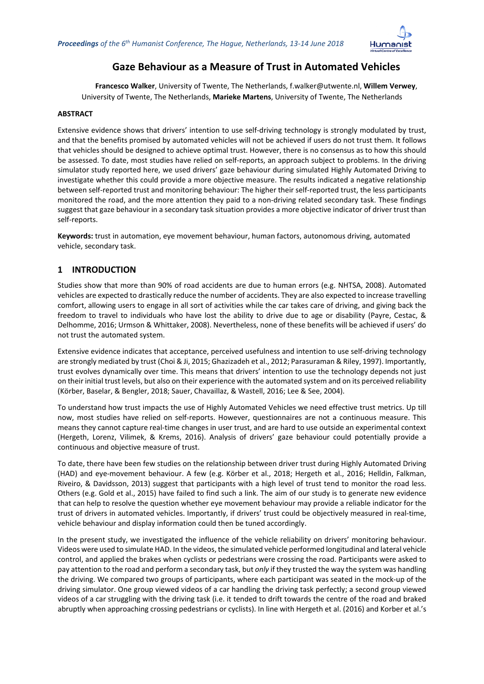

# **Gaze Behaviour as a Measure of Trust in Automated Vehicles**

**Francesco Walker**, University of Twente, The Netherlands, f.walker@utwente.nl, **Willem Verwey**, University of Twente, The Netherlands, **Marieke Martens**, University of Twente, The Netherlands

#### **ABSTRACT**

Extensive evidence shows that drivers' intention to use self-driving technology is strongly modulated by trust, and that the benefits promised by automated vehicles will not be achieved if users do not trust them. It follows that vehicles should be designed to achieve optimal trust. However, there is no consensus as to how this should be assessed. To date, most studies have relied on self-reports, an approach subject to problems. In the driving simulator study reported here, we used drivers' gaze behaviour during simulated Highly Automated Driving to investigate whether this could provide a more objective measure. The results indicated a negative relationship between self-reported trust and monitoring behaviour: The higher their self-reported trust, the less participants monitored the road, and the more attention they paid to a non-driving related secondary task. These findings suggest that gaze behaviour in a secondary task situation provides a more objective indicator of driver trust than self-reports.

**Keywords:** trust in automation, eye movement behaviour, human factors, autonomous driving, automated vehicle, secondary task.

# **1 INTRODUCTION**

Studies show that more than 90% of road accidents are due to human errors (e.g. NHTSA, 2008). Automated vehicles are expected to drastically reduce the number of accidents. They are also expected to increase travelling comfort, allowing users to engage in all sort of activities while the car takes care of driving, and giving back the freedom to travel to individuals who have lost the ability to drive due to age or disability (Payre, Cestac, & Delhomme, 2016; Urmson & Whittaker, 2008). Nevertheless, none of these benefits will be achieved if users' do not trust the automated system.

Extensive evidence indicates that acceptance, perceived usefulness and intention to use self-driving technology are strongly mediated by trust (Choi & Ji, 2015; Ghazizadeh et al., 2012; Parasuraman & Riley, 1997). Importantly, trust evolves dynamically over time. This means that drivers' intention to use the technology depends not just on their initial trust levels, but also on their experience with the automated system and on its perceived reliability (Körber, Baselar, & Bengler, 2018; Sauer, Chavaillaz, & Wastell, 2016; Lee & See, 2004).

To understand how trust impacts the use of Highly Automated Vehicles we need effective trust metrics. Up till now, most studies have relied on self-reports. However, questionnaires are not a continuous measure. This means they cannot capture real-time changes in user trust, and are hard to use outside an experimental context (Hergeth, Lorenz, Vilimek, & Krems, 2016). Analysis of drivers' gaze behaviour could potentially provide a continuous and objective measure of trust.

To date, there have been few studies on the relationship between driver trust during Highly Automated Driving (HAD) and eye-movement behaviour. A few (e.g. Körber et al., 2018; Hergeth et al., 2016; Helldin, Falkman, Riveiro, & Davidsson, 2013) suggest that participants with a high level of trust tend to monitor the road less. Others (e.g. Gold et al., 2015) have failed to find such a link. The aim of our study is to generate new evidence that can help to resolve the question whether eye movement behaviour may provide a reliable indicator for the trust of drivers in automated vehicles. Importantly, if drivers' trust could be objectively measured in real-time, vehicle behaviour and display information could then be tuned accordingly.

In the present study, we investigated the influence of the vehicle reliability on drivers' monitoring behaviour. Videos were used to simulate HAD. In the videos, the simulated vehicle performed longitudinal and lateral vehicle control, and applied the brakes when cyclists or pedestrians were crossing the road. Participants were asked to pay attention to the road and perform a secondary task, but *only* if they trusted the way the system was handling the driving. We compared two groups of participants, where each participant was seated in the mock-up of the driving simulator. One group viewed videos of a car handling the driving task perfectly; a second group viewed videos of a car struggling with the driving task (i.e. it tended to drift towards the centre of the road and braked abruptly when approaching crossing pedestrians or cyclists). In line with Hergeth et al. (2016) and Korber et al.'s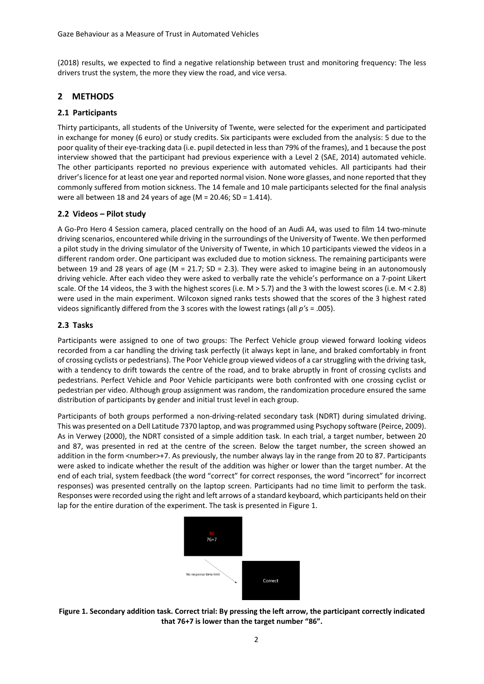(2018) results, we expected to find a negative relationship between trust and monitoring frequency: The less drivers trust the system, the more they view the road, and vice versa.

### **2 METHODS**

#### **2.1 Participants**

Thirty participants, all students of the University of Twente, were selected for the experiment and participated in exchange for money (6 euro) or study credits. Six participants were excluded from the analysis: 5 due to the poor quality of their eye-tracking data (i.e. pupil detected in less than 79% of the frames), and 1 because the post interview showed that the participant had previous experience with a Level 2 (SAE, 2014) automated vehicle. The other participants reported no previous experience with automated vehicles. All participants had their driver's licence for at least one year and reported normal vision. None wore glasses, and none reported that they commonly suffered from motion sickness. The 14 female and 10 male participants selected for the final analysis were all between 18 and 24 years of age (M = 20.46; SD = 1.414).

#### **2.2 Videos – Pilot study**

A Go-Pro Hero 4 Session camera, placed centrally on the hood of an Audi A4, was used to film 14 two-minute driving scenarios, encountered while driving in the surroundings of the University of Twente. We then performed a pilot study in the driving simulator of the University of Twente, in which 10 participants viewed the videos in a different random order. One participant was excluded due to motion sickness. The remaining participants were between 19 and 28 years of age ( $M = 21.7$ ; SD = 2.3). They were asked to imagine being in an autonomously driving vehicle. After each video they were asked to verbally rate the vehicle's performance on a 7-point Likert scale. Of the 14 videos, the 3 with the highest scores (i.e. M > 5.7) and the 3 with the lowest scores (i.e. M < 2.8) were used in the main experiment. Wilcoxon signed ranks tests showed that the scores of the 3 highest rated videos significantly differed from the 3 scores with the lowest ratings (all *p'*s = .005).

#### **2.3 Tasks**

Participants were assigned to one of two groups: The Perfect Vehicle group viewed forward looking videos recorded from a car handling the driving task perfectly (it always kept in lane, and braked comfortably in front of crossing cyclists or pedestrians). The Poor Vehicle group viewed videos of a car struggling with the driving task, with a tendency to drift towards the centre of the road, and to brake abruptly in front of crossing cyclists and pedestrians. Perfect Vehicle and Poor Vehicle participants were both confronted with one crossing cyclist or pedestrian per video. Although group assignment was random, the randomization procedure ensured the same distribution of participants by gender and initial trust level in each group.

Participants of both groups performed a non-driving-related secondary task (NDRT) during simulated driving. This was presented on a Dell Latitude 7370 laptop, and was programmed using Psychopy software (Peirce, 2009). As in Verwey (2000), the NDRT consisted of a simple addition task. In each trial, a target number, between 20 and 87, was presented in red at the centre of the screen. Below the target number, the screen showed an addition in the form <number>+7. As previously, the number always lay in the range from 20 to 87. Participants were asked to indicate whether the result of the addition was higher or lower than the target number. At the end of each trial, system feedback (the word "correct" for correct responses, the word "incorrect" for incorrect responses) was presented centrally on the laptop screen. Participants had no time limit to perform the task. Responses were recorded using the right and left arrows of a standard keyboard, which participants held on their lap for the entire duration of the experiment. The task is presented in Figure 1.



**Figure 1. Secondary addition task. Correct trial: By pressing the left arrow, the participant correctly indicated that 76+7 is lower than the target number "86".**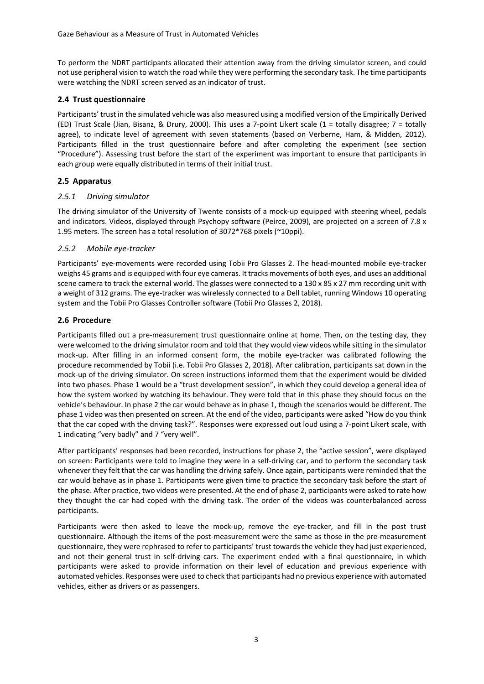To perform the NDRT participants allocated their attention away from the driving simulator screen, and could not use peripheral vision to watch the road while they were performing the secondary task. The time participants were watching the NDRT screen served as an indicator of trust.

### **2.4 Trust questionnaire**

Participants' trust in the simulated vehicle was also measured using a modified version of the Empirically Derived (ED) Trust Scale (Jian, Bisanz, & Drury, 2000). This uses a 7-point Likert scale (1 = totally disagree; 7 = totally agree), to indicate level of agreement with seven statements (based on Verberne, Ham, & Midden, 2012). Participants filled in the trust questionnaire before and after completing the experiment (see section "Procedure"). Assessing trust before the start of the experiment was important to ensure that participants in each group were equally distributed in terms of their initial trust.

## **2.5 Apparatus**

### *2.5.1 Driving simulator*

The driving simulator of the University of Twente consists of a mock-up equipped with steering wheel, pedals and indicators. Videos, displayed through Psychopy software (Peirce, 2009), are projected on a screen of 7.8 x 1.95 meters. The screen has a total resolution of 3072\*768 pixels (~10ppi).

## *2.5.2 Mobile eye-tracker*

Participants' eye-movements were recorded using Tobii Pro Glasses 2. The head-mounted mobile eye-tracker weighs 45 grams and is equipped with four eye cameras. It tracks movements of both eyes, and uses an additional scene camera to track the external world. The glasses were connected to a 130 x 85 x 27 mm recording unit with a weight of 312 grams. The eye-tracker was wirelessly connected to a Dell tablet, running Windows 10 operating system and the Tobii Pro Glasses Controller software (Tobii Pro Glasses 2, 2018).

## **2.6 Procedure**

Participants filled out a pre-measurement trust questionnaire online at home. Then, on the testing day, they were welcomed to the driving simulator room and told that they would view videos while sitting in the simulator mock-up. After filling in an informed consent form, the mobile eye-tracker was calibrated following the procedure recommended by Tobii (i.e. Tobii Pro Glasses 2, 2018). After calibration, participants sat down in the mock-up of the driving simulator. On screen instructions informed them that the experiment would be divided into two phases. Phase 1 would be a "trust development session", in which they could develop a general idea of how the system worked by watching its behaviour. They were told that in this phase they should focus on the vehicle's behaviour. In phase 2 the car would behave as in phase 1, though the scenarios would be different. The phase 1 video was then presented on screen. At the end of the video, participants were asked "How do you think that the car coped with the driving task?". Responses were expressed out loud using a 7-point Likert scale, with 1 indicating "very badly" and 7 "very well".

After participants' responses had been recorded, instructions for phase 2, the "active session", were displayed on screen: Participants were told to imagine they were in a self-driving car, and to perform the secondary task whenever they felt that the car was handling the driving safely. Once again, participants were reminded that the car would behave as in phase 1. Participants were given time to practice the secondary task before the start of the phase. After practice, two videos were presented. At the end of phase 2, participants were asked to rate how they thought the car had coped with the driving task. The order of the videos was counterbalanced across participants.

Participants were then asked to leave the mock-up, remove the eye-tracker, and fill in the post trust questionnaire. Although the items of the post-measurement were the same as those in the pre-measurement questionnaire, they were rephrased to refer to participants' trust towards the vehicle they had just experienced, and not their general trust in self-driving cars. The experiment ended with a final questionnaire, in which participants were asked to provide information on their level of education and previous experience with automated vehicles. Responses were used to check that participants had no previous experience with automated vehicles, either as drivers or as passengers.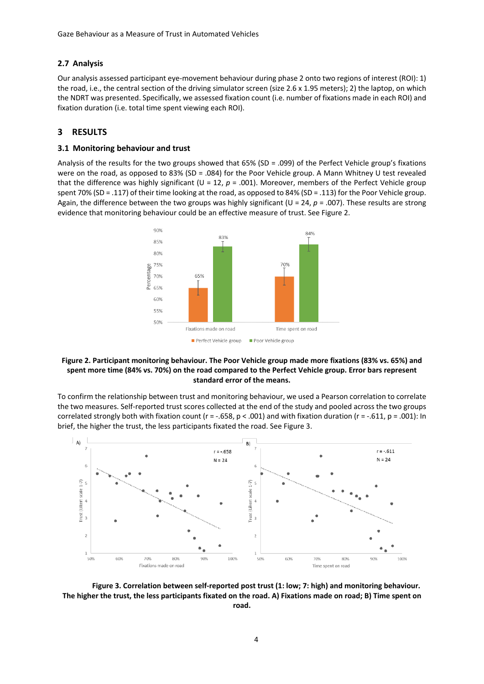#### **2.7 Analysis**

Our analysis assessed participant eye-movement behaviour during phase 2 onto two regions of interest (ROI): 1) the road, i.e., the central section of the driving simulator screen (size 2.6 x 1.95 meters); 2) the laptop, on which the NDRT was presented. Specifically, we assessed fixation count (i.e. number of fixations made in each ROI) and fixation duration (i.e. total time spent viewing each ROI).

#### **3 RESULTS**

#### **3.1 Monitoring behaviour and trust**

Analysis of the results for the two groups showed that 65% (SD = .099) of the Perfect Vehicle group's fixations were on the road, as opposed to 83% (SD = .084) for the Poor Vehicle group. A Mann Whitney U test revealed that the difference was highly significant ( $U = 12$ ,  $p = .001$ ). Moreover, members of the Perfect Vehicle group spent 70% (SD = .117) of their time looking at the road, as opposed to 84% (SD = .113) for the Poor Vehicle group. Again, the difference between the two groups was highly significant (U = 24, *p* = .007). These results are strong evidence that monitoring behaviour could be an effective measure of trust. See Figure 2.



#### **Figure 2. Participant monitoring behaviour. The Poor Vehicle group made more fixations (83% vs. 65%) and spent more time (84% vs. 70%) on the road compared to the Perfect Vehicle group. Error bars represent standard error of the means.**

To confirm the relationship between trust and monitoring behaviour, we used a Pearson correlation to correlate the two measures. Self-reported trust scores collected at the end of the study and pooled across the two groups correlated strongly both with fixation count ( $r = -.658$ ,  $p < .001$ ) and with fixation duration ( $r = -.611$ ,  $p = .001$ ): In brief, the higher the trust, the less participants fixated the road. See Figure 3.



**Figure 3. Correlation between self-reported post trust (1: low; 7: high) and monitoring behaviour. The higher the trust, the less participants fixated on the road. A) Fixations made on road; B) Time spent on road.**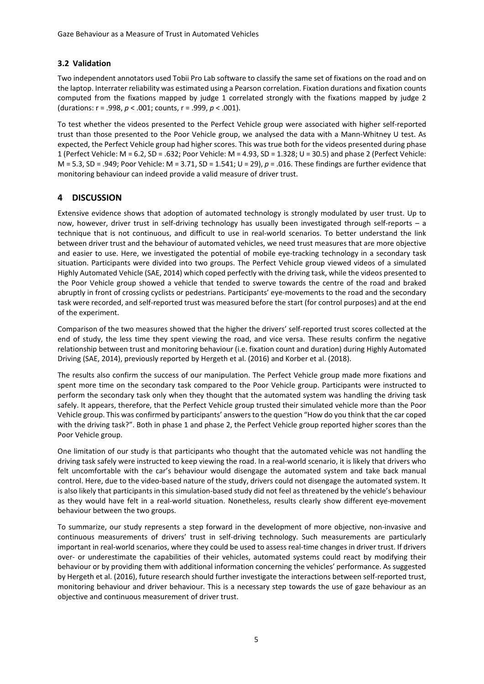### **3.2 Validation**

Two independent annotators used Tobii Pro Lab software to classify the same set of fixations on the road and on the laptop. Interrater reliability was estimated using a Pearson correlation. Fixation durations and fixation counts computed from the fixations mapped by judge 1 correlated strongly with the fixations mapped by judge 2 (durations: r = .998, *p* < .001; counts, r = .999, *p* < .001).

To test whether the videos presented to the Perfect Vehicle group were associated with higher self-reported trust than those presented to the Poor Vehicle group, we analysed the data with a Mann-Whitney U test. As expected, the Perfect Vehicle group had higher scores. This was true both for the videos presented during phase 1 (Perfect Vehicle: M = 6.2, SD = .632; Poor Vehicle: M = 4.93, SD = 1.328; U = 30.5) and phase 2 (Perfect Vehicle: M = 5.3, SD = .949; Poor Vehicle: M = 3.71, SD = 1.541; U = 29), *p* = .016. These findings are further evidence that monitoring behaviour can indeed provide a valid measure of driver trust.

# **4 DISCUSSION**

Extensive evidence shows that adoption of automated technology is strongly modulated by user trust. Up to now, however, driver trust in self-driving technology has usually been investigated through self-reports – a technique that is not continuous, and difficult to use in real-world scenarios. To better understand the link between driver trust and the behaviour of automated vehicles, we need trust measures that are more objective and easier to use. Here, we investigated the potential of mobile eye-tracking technology in a secondary task situation. Participants were divided into two groups. The Perfect Vehicle group viewed videos of a simulated Highly Automated Vehicle (SAE, 2014) which coped perfectly with the driving task, while the videos presented to the Poor Vehicle group showed a vehicle that tended to swerve towards the centre of the road and braked abruptly in front of crossing cyclists or pedestrians. Participants' eye-movements to the road and the secondary task were recorded, and self-reported trust was measured before the start (for control purposes) and at the end of the experiment.

Comparison of the two measures showed that the higher the drivers' self-reported trust scores collected at the end of study, the less time they spent viewing the road, and vice versa. These results confirm the negative relationship between trust and monitoring behaviour (i.e. fixation count and duration) during Highly Automated Driving (SAE, 2014), previously reported by Hergeth et al. (2016) and Korber et al. (2018).

The results also confirm the success of our manipulation. The Perfect Vehicle group made more fixations and spent more time on the secondary task compared to the Poor Vehicle group. Participants were instructed to perform the secondary task only when they thought that the automated system was handling the driving task safely. It appears, therefore, that the Perfect Vehicle group trusted their simulated vehicle more than the Poor Vehicle group. This was confirmed by participants' answers to the question "How do you think that the car coped with the driving task?". Both in phase 1 and phase 2, the Perfect Vehicle group reported higher scores than the Poor Vehicle group.

One limitation of our study is that participants who thought that the automated vehicle was not handling the driving task safely were instructed to keep viewing the road. In a real-world scenario, it is likely that drivers who felt uncomfortable with the car's behaviour would disengage the automated system and take back manual control. Here, due to the video-based nature of the study, drivers could not disengage the automated system. It is also likely that participants in this simulation-based study did not feel as threatened by the vehicle's behaviour as they would have felt in a real-world situation. Nonetheless, results clearly show different eye-movement behaviour between the two groups.

To summarize, our study represents a step forward in the development of more objective, non-invasive and continuous measurements of drivers' trust in self-driving technology. Such measurements are particularly important in real-world scenarios, where they could be used to assess real-time changes in driver trust. If drivers over- or underestimate the capabilities of their vehicles, automated systems could react by modifying their behaviour or by providing them with additional information concerning the vehicles' performance. As suggested by Hergeth et al. (2016), future research should further investigate the interactions between self-reported trust, monitoring behaviour and driver behaviour. This is a necessary step towards the use of gaze behaviour as an objective and continuous measurement of driver trust.